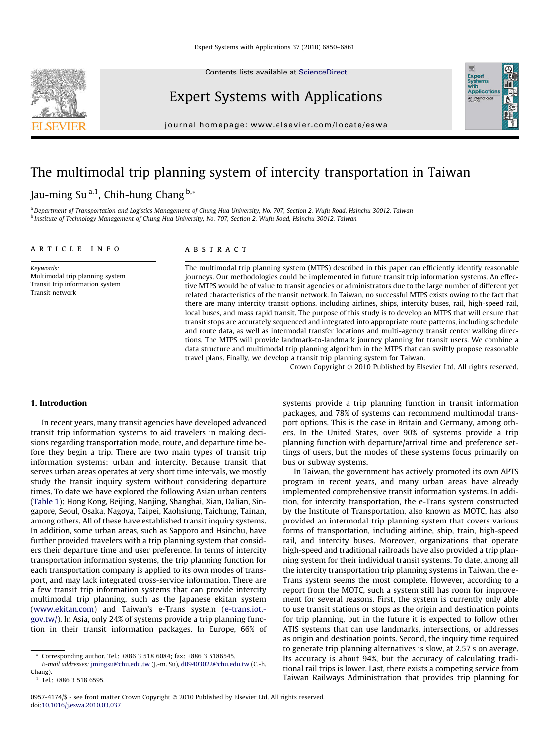Contents lists available at [ScienceDirect](http://www.sciencedirect.com/science/journal/09574174)



Expert Systems with Applications

journal homepage: [www.elsevier.com/locate/eswa](http://www.elsevier.com/locate/eswa)

## The multimodal trip planning system of intercity transportation in Taiwan

### Jau-ming Su<sup>a,1</sup>, Chih-hung Chang  $b.*$

a Department of Transportation and Logistics Management of Chung Hua University, No. 707, Section 2, Wufu Road, Hsinchu 30012, Taiwan <sup>b</sup> Institute of Technology Management of Chung Hua University, No. 707, Section 2, Wufu Road, Hsinchu 30012, Taiwan

#### article info

Keywords: Multimodal trip planning system Transit trip information system Transit network

#### **ARSTRACT**

The multimodal trip planning system (MTPS) described in this paper can efficiently identify reasonable journeys. Our methodologies could be implemented in future transit trip information systems. An effective MTPS would be of value to transit agencies or administrators due to the large number of different yet related characteristics of the transit network. In Taiwan, no successful MTPS exists owing to the fact that there are many intercity transit options, including airlines, ships, intercity buses, rail, high-speed rail, local buses, and mass rapid transit. The purpose of this study is to develop an MTPS that will ensure that transit stops are accurately sequenced and integrated into appropriate route patterns, including schedule and route data, as well as intermodal transfer locations and multi-agency transit center walking directions. The MTPS will provide landmark-to-landmark journey planning for transit users. We combine a data structure and multimodal trip planning algorithm in the MTPS that can swiftly propose reasonable travel plans. Finally, we develop a transit trip planning system for Taiwan.

Crown Copyright © 2010 Published by Elsevier Ltd. All rights reserved.

Expert<br>Systen

#### 1. Introduction

In recent years, many transit agencies have developed advanced transit trip information systems to aid travelers in making decisions regarding transportation mode, route, and departure time before they begin a trip. There are two main types of transit trip information systems: urban and intercity. Because transit that serves urban areas operates at very short time intervals, we mostly study the transit inquiry system without considering departure times. To date we have explored the following Asian urban centers ([Table 1](#page-1-0)): Hong Kong, Beijing, Nanjing, Shanghai, Xian, Dalian, Singapore, Seoul, Osaka, Nagoya, Taipei, Kaohsiung, Taichung, Tainan, among others. All of these have established transit inquiry systems. In addition, some urban areas, such as Sapporo and Hsinchu, have further provided travelers with a trip planning system that considers their departure time and user preference. In terms of intercity transportation information systems, the trip planning function for each transportation company is applied to its own modes of transport, and may lack integrated cross-service information. There are a few transit trip information systems that can provide intercity multimodal trip planning, such as the Japanese ekitan system ([www.ekitan.com](http://www.ekitan.com)) and Taiwan's e-Trans system ([e-trans.iot.](http://e-trans.iot.gov.tw/) [gov.tw/](http://e-trans.iot.gov.tw/)). In Asia, only 24% of systems provide a trip planning function in their transit information packages. In Europe, 66% of systems provide a trip planning function in transit information packages, and 78% of systems can recommend multimodal transport options. This is the case in Britain and Germany, among others. In the United States, over 90% of systems provide a trip planning function with departure/arrival time and preference settings of users, but the modes of these systems focus primarily on bus or subway systems.

In Taiwan, the government has actively promoted its own APTS program in recent years, and many urban areas have already implemented comprehensive transit information systems. In addition, for intercity transportation, the e-Trans system constructed by the Institute of Transportation, also known as MOTC, has also provided an intermodal trip planning system that covers various forms of transportation, including airline, ship, train, high-speed rail, and intercity buses. Moreover, organizations that operate high-speed and traditional railroads have also provided a trip planning system for their individual transit systems. To date, among all the intercity transportation trip planning systems in Taiwan, the e-Trans system seems the most complete. However, according to a report from the MOTC, such a system still has room for improvement for several reasons. First, the system is currently only able to use transit stations or stops as the origin and destination points for trip planning, but in the future it is expected to follow other ATIS systems that can use landmarks, intersections, or addresses as origin and destination points. Second, the inquiry time required to generate trip planning alternatives is slow, at 2.57 s on average. Its accuracy is about 94%, but the accuracy of calculating traditional rail trips is lower. Last, there exists a competing service from Taiwan Railways Administration that provides trip planning for

Corresponding author. Tel.: +886 3 518 6084; fax: +886 3 5186545.

E-mail addresses: [jmingsu@chu.edu.tw](mailto:jmingsu@chu.edu.tw) (J.-m. Su), [d09403022@chu.edu.tw](mailto:d09403022@chu.edu.tw) (C.-h. Chang).

 $1$  Tel.: +886 3 518 6595.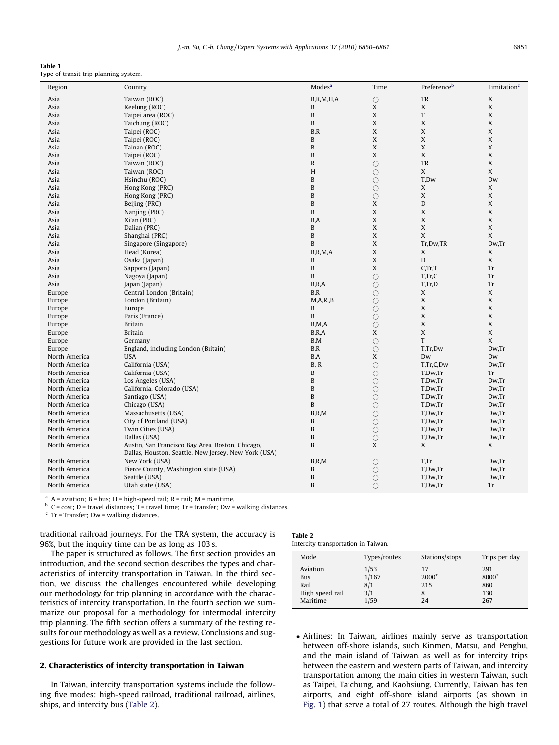<span id="page-1-0"></span>

| Table 1 |  |                                       |  |
|---------|--|---------------------------------------|--|
|         |  | Type of transit trip planning system. |  |

| Region        | Country                                              | Modes <sup>a</sup> | Time                | Preference <sup>b</sup>   | Limitation <sup>c</sup> |
|---------------|------------------------------------------------------|--------------------|---------------------|---------------------------|-------------------------|
| Asia          | Taiwan (ROC)                                         | B, R, M, H, A      | $\circ$             | TR                        | X                       |
| Asia          | Keelung (ROC)                                        | B                  | X                   | X                         | $\mathbf X$             |
| Asia          | Taipei area (ROC)                                    | B                  | X                   | ${\rm T}$                 | X                       |
| Asia          | Taichung (ROC)                                       | $\, {\bf B}$       | X                   | X                         | X                       |
| Asia          | Taipei (ROC)                                         | B, R               | X                   | X                         | X                       |
| Asia          | Taipei (ROC)                                         | $\, {\bf B}$       | X                   | X                         | X                       |
| Asia          | Tainan (ROC)                                         | $\, {\bf B}$       | $\mathsf X$         | $\mathbf X$               | X                       |
| Asia          | Taipei (ROC)                                         | B                  | X                   | X                         | X                       |
| Asia          | Taiwan (ROC)                                         | $\mathbb R$        | $\circ$             | TR                        | X                       |
| Asia          | Taiwan (ROC)                                         | H                  | $\circ$             | $\mathbf X$               | X                       |
| Asia          | Hsinchu (ROC)                                        | $\, {\bf B}$       | $\bigcirc$          | T,Dw                      | Dw                      |
| Asia          | Hong Kong (PRC)                                      | B                  | $\circ$             | X                         | X                       |
| Asia          | Hong Kong (PRC)                                      | $\, {\bf B}$       | $\circ$             | X                         | X                       |
| Asia          | Beijing (PRC)                                        | B                  | X                   | D                         | X                       |
| Asia          | Nanjing (PRC)                                        | B                  | X                   | $\mathbf X$               | X                       |
| Asia          | Xi'an (PRC)                                          | B,A                | X                   | X                         | X                       |
| Asia          | Dalian (PRC)                                         | $\, {\bf B}$       | $\mathsf X$         | $\mathbf X$               | X                       |
| Asia          | Shanghai (PRC)                                       | $\, {\bf B}$       | X                   | X                         | X                       |
| Asia          | Singapore (Singapore)                                | $\, {\bf B}$       | $\mathsf X$         | Tr,Dw,TR                  | Dw,Tr                   |
| Asia          | Head (Korea)                                         | B, R, M, A         | X                   | X                         | X                       |
| Asia          | Osaka (Japan)                                        | B                  | X                   | D                         | X                       |
| Asia          | Sapporo (Japan)                                      | B                  | X                   | C, Tr, T                  | Tr                      |
| Asia          | Nagoya (Japan)                                       | B                  | $\circ$             | T, Tr, C                  | Tr                      |
| Asia          | Japan (Japan)                                        | B.R.A              | $\bigcirc$          | T,Tr,D                    | Tr                      |
| Europe        | Central London (Britain)                             | B, R               | $\bigcirc$          | X                         | X                       |
| Europe        | London (Britain)                                     | M, A, R, B         | $\circ$             | X                         | X                       |
| Europe        | Europe                                               | B                  | $\bigcirc$          | X                         | X                       |
| Europe        | Paris (France)                                       | B                  | $\bigcirc$          | $\mathsf X$               | X                       |
| Europe        | <b>Britain</b>                                       | B, M, A            | $\circ$             | X                         | $\mathbf X$             |
| Europe        | <b>Britain</b>                                       | B, R, A            | X                   | $\mathsf X$               | X                       |
| Europe        | Germany                                              | B,M                | $\bigcirc$          | $\ensuremath{\mathrm{T}}$ | X                       |
| Europe        | England, including London (Britain)                  | B, R               | $\circ$             | T,Tr,Dw                   | Dw,Tr                   |
| North America | <b>USA</b>                                           | B,A                | X                   | Dw                        | Dw                      |
| North America | California (USA)                                     | B, R               | $\circ$             | T,Tr,C,Dw                 | Dw,Tr                   |
| North America | California (USA)                                     | B                  | $\circ$             | T,Dw,Tr                   | Tr                      |
| North America | Los Angeles (USA)                                    | $\, {\bf B}$       | $\bigcirc$          | T,Dw,Tr                   | Dw,Tr                   |
| North America | California, Colorado (USA)                           | B                  | $\bigcirc$          | T,Dw,Tr                   | Dw,Tr                   |
| North America | Santiago (USA)                                       | $\mathbf B$        | $\bigcirc$          | T,Dw,Tr                   | Dw,Tr                   |
| North America | Chicago (USA)                                        | B                  | $\circ$             | T,Dw,Tr                   | Dw,Tr                   |
| North America | Massachusetts (USA)                                  | B, R, M            | $\bigcirc$          | T,Dw,Tr                   | Dw,Tr                   |
| North America | City of Portland (USA)                               | B                  | $\circ$             | T,Dw,Tr                   | Dw,Tr                   |
| North America | Twin Cities (USA)                                    | B                  | $\circ$             | T,Dw,Tr                   | Dw,Tr                   |
| North America | Dallas (USA)                                         | $\mathbf B$        | $\circ$             | T,Dw,Tr                   | Dw,Tr                   |
| North America | Austin, San Francisco Bay Area, Boston, Chicago,     | $\mathbf B$        | X                   | X                         | X                       |
|               | Dallas, Houston, Seattle, New Jersey, New York (USA) |                    |                     |                           |                         |
| North America | New York (USA)                                       | B, R, M            | $\circ$             | T,Tr                      | Dw,Tr                   |
| North America | Pierce County, Washington state (USA)                | $\, {\bf B}$       | $\circlearrowright$ | T,Dw,Tr                   | Dw,Tr                   |
| North America | Seattle (USA)                                        | B                  | O                   | T,Dw,Tr                   | Dw,Tr                   |
| North America | Utah state (USA)                                     | B                  | $\bigcirc$          | T,Dw,Tr                   | Tr                      |
|               |                                                      |                    |                     |                           |                         |

 $A =$  aviation; B = bus; H = high-speed rail; R = rail; M = maritime.

 $b$  C = cost; D = travel distances; T = travel time; Tr = transfer; Dw = walking distances.

 $c$  Tr = Transfer; Dw = walking distances.

traditional railroad journeys. For the TRA system, the accuracy is 96%, but the inquiry time can be as long as 103 s.

The paper is structured as follows. The first section provides an introduction, and the second section describes the types and characteristics of intercity transportation in Taiwan. In the third section, we discuss the challenges encountered while developing our methodology for trip planning in accordance with the characteristics of intercity transportation. In the fourth section we summarize our proposal for a methodology for intermodal intercity trip planning. The fifth section offers a summary of the testing results for our methodology as well as a review. Conclusions and suggestions for future work are provided in the last section.

### 2. Characteristics of intercity transportation in Taiwan

In Taiwan, intercity transportation systems include the following five modes: high-speed railroad, traditional railroad, airlines, ships, and intercity bus (Table 2).

| Table 2 |                                     |  |  |
|---------|-------------------------------------|--|--|
|         | Intercity transportation in Taiwan. |  |  |

| Mode            | Types/routes | Stations/stops | Trips per day |
|-----------------|--------------|----------------|---------------|
| Aviation        | 1/53         | 17             | 291           |
| Bus             | 1/167        | $2000^+$       | 8000+         |
| Rail            | 8/1          | 215            | 860           |
| High speed rail | 3/1          | 8              | 130           |
| Maritime        | 1/59         | 24             | 267           |

- Airlines: In Taiwan, airlines mainly serve as transportation between off-shore islands, such Kinmen, Matsu, and Penghu, and the main island of Taiwan, as well as for intercity trips between the eastern and western parts of Taiwan, and intercity transportation among the main cities in western Taiwan, such as Taipei, Taichung, and Kaohsiung. Currently, Taiwan has ten airports, and eight off-shore island airports (as shown in [Fig. 1\)](#page--1-0) that serve a total of 27 routes. Although the high travel